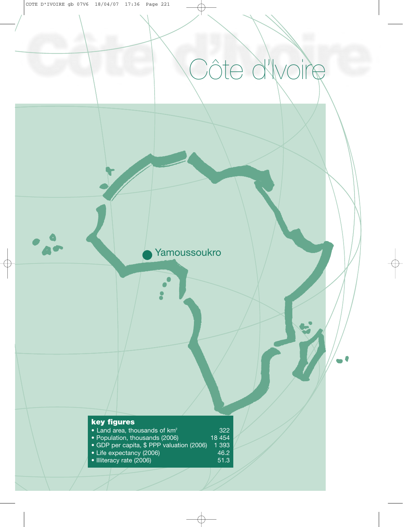Yamoussoukro

| <b>key figures</b>                        |         |
|-------------------------------------------|---------|
| • Land area, thousands of km <sup>2</sup> | 322     |
| • Population, thousands (2006)            | 18 4 54 |
| • GDP per capita, \$ PPP valuation (2006) | 1 393   |
| • Life expectancy (2006)                  | 46.2    |
| • Illiteracy rate (2006)                  | 51.3    |
|                                           |         |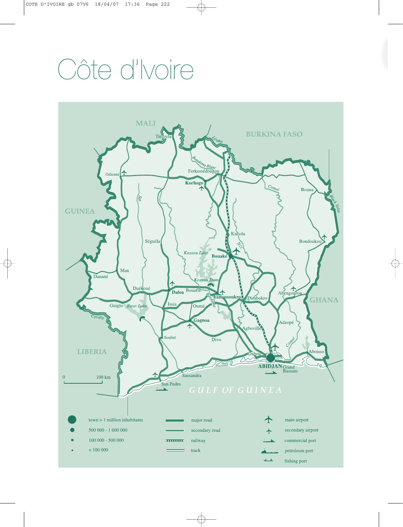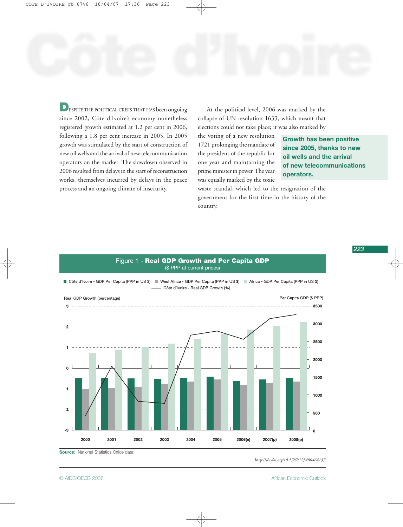**D**ESPITE THE POLITICAL CRISIS THAT HAS been ongoing since 2002, Côte d'Ivoire's economy nonetheless registered growth estimated at 1.2 per cent in 2006, following a 1.8 per cent increase in 2005. In 2005 growth was stimulated by the start of construction of new oil wells and the arrival of new telecommunication operators on the market. The slowdown observed in 2006 resulted from delays in the start of reconstruction works, themselves incurred by delays in the peace process and an ongoing climate of insecurity.

At the political level, 2006 was marked by the collapse of UN resolution 1633, which meant that elections could not take place; it was also marked by

the voting of a new resolution 1721 prolonging the mandate of the president of the republic for one year and maintaining the prime minister in power. The year was equally marked by the toxic

**Growth has been positive since 2005, thanks to new oil wells and the arrival of new telecommunications operators.** 

waste scandal, which led to the resignation of the government for the first time in the history of the country.

*223*

### Figure 1 **- Real GDP Growth and Per Capita GDP** (\$ PPP at current prices)



**Source:** National Statistics Office data.

http://*[dx.doi.org/10.1787/125480464137](http://dx.doi.org/10.1787/125480464137)*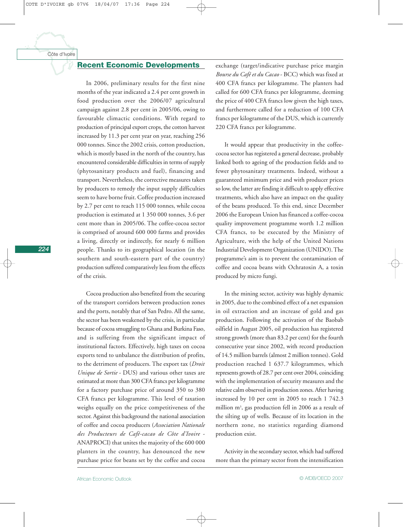## **Recent Economic Developments**

In 2006, preliminary results for the first nine months of the year indicated a 2.4 per cent growth in food production over the 2006/07 agricultural campaign against 2.8 per cent in 2005/06, owing to favourable climactic conditions. With regard to production of principal export crops, the cotton harvest increased by 11.3 per cent year on year, reaching 256 000 tonnes. Since the 2002 crisis, cotton production, which is mostly based in the north of the country, has encountered considerable difficulties in terms of supply (phytosanitary products and fuel), financing and transport. Nevertheless, the corrective measures taken by producers to remedy the input supply difficulties seem to have borne fruit. Coffee production increased by 2.7 per cent to reach 115 000 tonnes, while cocoa production is estimated at 1 350 000 tonnes, 3.6 per cent more than in 2005/06. The coffee-cocoa sector is comprised of around 600 000 farms and provides a living, directly or indirectly, for nearly 6 million people. Thanks to its geographical location (in the southern and south-eastern part of the country) production suffered comparatively less from the effects of the crisis.

Cocoa production also benefited from the securing of the transport corridors between production zones and the ports, notably that of San Pedro. All the same, the sector has been weakened by the crisis, in particular because of cocoa smuggling to Ghana and Burkina Faso, and is suffering from the significant impact of institutional factors. Effectively, high taxes on cocoa exports tend to unbalance the distribution of profits, to the detriment of producers. The export tax (*Droit Unique de Sortie* - DUS) and various other taxes are estimated at more than 300 CFA francs per kilogramme for a factory purchase price of around 350 to 380 CFA francs per kilogramme. This level of taxation weighs equally on the price competitiveness of the sector. Against this background the national association of coffee and cocoa producers (*Association Nationale des Producteurs de Café-cacao de Côte d'Ivoire* - ANAPROCI) that unites the majority of the 600 000 planters in the country, has denounced the new purchase price for beans set by the coffee and cocoa exchange (target/indicative purchase price margin *Bourse du Café et du Cacao* - BCC) which was fixed at 400 CFA francs per kilogramme. The planters had called for 600 CFA francs per kilogramme, deeming the price of 400 CFA francs low given the high taxes, and furthermore called for a reduction of 100 CFA francs per kilogramme of the DUS, which is currently 220 CFA francs per kilogramme.

It would appear that productivity in the coffeecocoa sector has registered a general decrease, probably linked both to ageing of the production fields and to fewer phytosanitary treatments. Indeed, without a guaranteed minimum price and with producer prices so low, the latter are finding it difficult to apply effective treatments, which also have an impact on the quality of the beans produced. To this end, since December 2006 the European Union has financed a coffee-cocoa quality improvement programme worth 1.2 million CFA francs, to be executed by the Ministry of Agriculture, with the help of the United Nations Industrial Development Organization (UNIDO). The programme's aim is to prevent the contamination of coffee and cocoa beans with Ochratoxin A, a toxin produced by micro fungi.

In the mining sector, activity was highly dynamic in 2005, due to the combined effect of a net expansion in oil extraction and an increase of gold and gas production. Following the activation of the Baobab oilfield in August 2005, oil production has registered strong growth (more than 83.2 per cent) for the fourth consecutive year since 2002, with record production of 14.5 million barrels (almost 2 million tonnes). Gold production reached 1 637.7 kilogrammes, which represents growth of 28.7 per cent over 2004, coinciding with the implementation of security measures and the relative calm observed in production zones. After having increased by 10 per cent in 2005 to reach 1 742.3 million m3 , gas production fell in 2006 as a result of the silting up of wells. Because of its location in the northern zone, no statistics regarding diamond production exist.

Activity in the secondary sector, which had suffered more than the primary sector from the intensification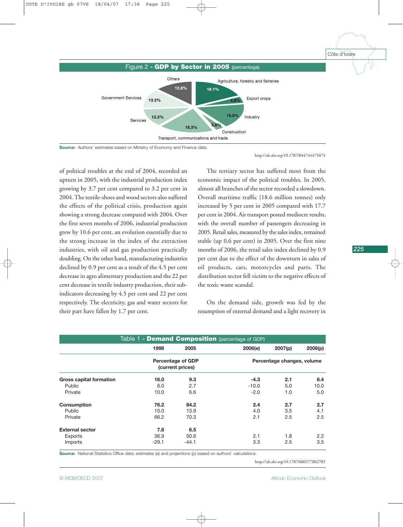

**Source:** Authors' estimates based on Ministry of Economy and Finance data.

http://*[dx.doi.org/10.1787/844744475874](http://dx.doi.org/10.1787/844744475874)*

of political troubles at the end of 2004, recorded an upturn in 2005, with the industrial production index growing by 3.7 per cent compared to 3.2 per cent in 2004. The textile-shoes and wood sectors also suffered the effects of the political crisis, production again showing a strong decrease compared with 2004. Over the first seven months of 2006, industrial production grew by 10.6 per cent, an evolution essentially due to the strong increase in the index of the extraction industries, with oil and gas production practically doubling. On the other hand, manufacturing industries declined by 0.9 per cent as a result of the 4.5 per cent decrease in agro alimentary production and the 22 per cent decrease in textile industry production, their subindicators decreasing by 4.5 per cent and 22 per cent respectively. The electricity, gas and water sectors for their part have fallen by 1.7 per cent.

The tertiary sector has suffered most from the economic impact of the political troubles. In 2005, almost all branches of the sector recorded a slowdown. Overall maritime traffic (18.6 million tonnes) only increased by 5 per cent in 2005 compared with 17.7 per cent in 2004. Air transport posted mediocre results, with the overall number of passengers decreasing in 2005. Retail sales, measured by the sales index, remained stable (up 0.6 per cent) in 2005. Over the first nine months of 2006, the retail sales index declined by 0.9 per cent due to the effect of the downturn in sales of oil products, cars, motorcycles and parts. The distribution sector fell victim to the negative effects of the toxic waste scandal.

On the demand side, growth was fed by the resumption of external demand and a light recovery in

| Table 1 - Demand Composition (percentage of GDP) |         |                                              |         |         |                            |  |  |  |  |
|--------------------------------------------------|---------|----------------------------------------------|---------|---------|----------------------------|--|--|--|--|
|                                                  | 1998    | 2005                                         | 2006(e) | 2007(p) | 2008(p)                    |  |  |  |  |
|                                                  |         | <b>Percentage of GDP</b><br>(current prices) |         |         | Percentage changes, volume |  |  |  |  |
| <b>Gross capital formation</b>                   | 16.0    | 9.3                                          | $-4.3$  | 2.1     | 6.4                        |  |  |  |  |
| Public                                           | 6.0     | 2.7                                          | $-10.0$ | 5.0     | 10.0                       |  |  |  |  |
| Private                                          | 10.0    | 6.6                                          | $-2.0$  | 1.0     | 5.0                        |  |  |  |  |
| Consumption                                      | 76.2    | 84.2                                         | 2.4     | 2.7     | 2.7                        |  |  |  |  |
| Public                                           | 10.0    | 13.9                                         | 4.0     | 3.5     | 4.1                        |  |  |  |  |
| Private                                          | 66.2    | 70.3                                         | 2.1     | 2.5     | 2.5                        |  |  |  |  |
| <b>External sector</b>                           | 7.8     | 6.5                                          |         |         |                            |  |  |  |  |
| Exports                                          | 36.9    | 50.6                                         | 2.1     | 1.8     | 2.2                        |  |  |  |  |
| Imports                                          | $-29.1$ | $-44.1$                                      | 3.3     | 2.5     | 3.5                        |  |  |  |  |

**Source:** National Statistics Office data; estimates (e) and projections (p) based on authors' calculations

http://*[dx.doi.org/10.1787/686577802785](http://dx.doi.org/10.1787/686577802785)*

Côte d'Ivoire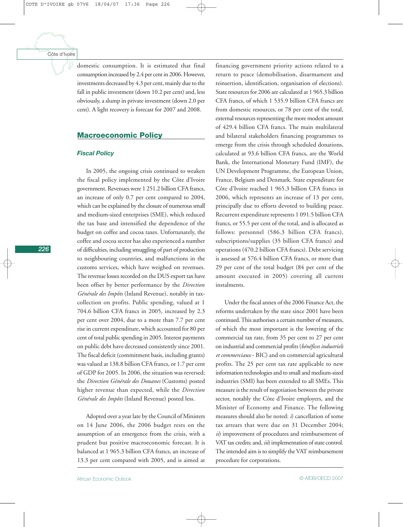domestic consumption. It is estimated that final consumption increased by 2.4 per cent in 2006. However, investments decreased by 4.3 per cent, mainly due to the fall in public investment (down 10.2 per cent) and, less obviously, a slump in private investment (down 2.0 per cent). A light recovery is forecast for 2007 and 2008.

### **Macroeconomic Policy**

### *Fiscal Policy*

In 2005, the ongoing crisis continued to weaken the fiscal policy implemented by the Côte d'Ivoire government. Revenues were 1 251.2 billion CFA francs, an increase of only 0.7 per cent compared to 2004, which can be explained by the closure of numerous small and medium-sized enterprises (SME), which reduced the tax base and intensified the dependence of the budget on coffee and cocoa taxes. Unfortunately, the coffee and cocoa sector has also experienced a number of difficulties, including smuggling of part of production to neighbouring countries, and malfunctions in the customs services, which have weighed on revenues. The revenue losses recorded on the DUS export tax have been offset by better performance by the *Direction Générale des Impôts* (Inland Revenue), notably in taxcollection on profits. Public spending, valued at 1 704.6 billion CFA francs in 2005, increased by 2.3 per cent over 2004, due to a more than 7.7 per cent rise in current expenditure, which accounted for 80 per cent of total public spending in 2005. Interest payments on public debt have decreased consistently since 2001. The fiscal deficit (commitment basis, including grants) was valued at 138.8 billion CFA francs, or 1.7 per cent of GDP for 2005. In 2006, the situation was reversed; the *Direction Générale des Douanes* (Customs) posted higher revenue than expected, while the *Direction Générale des Impôts* (Inland Revenue) posted less.

Adopted over a year late by the Council of Ministers on 14 June 2006, the 2006 budget rests on the assumption of an emergence from the crisis, with a prudent but positive macroeconomic forecast. It is balanced at 1 965.3 billion CFA francs, an increase of 13.3 per cent compared with 2005, and is aimed at

financing government priority actions related to a return to peace (demobilisation, disarmament and reinsertion, identification, organisation of elections). State resources for 2006 are calculated at 1 965.3 billion CFA francs, of which 1 535.9 billion CFA francs are from domestic resources, or 78 per cent of the total, external resources representing the more modest amount of 429.4 billion CFA francs. The main multilateral and bilateral stakeholders financing programmes to emerge from the crisis through scheduled donations, calculated at 93.6 billion CFA francs, are the World Bank, the International Monetary Fund (IMF), the UN Development Programme, the European Union, France, Belgium and Denmark. State expenditure for Côte d'Ivoire reached 1 965.3 billion CFA francs in 2006, which represents an increase of 13 per cent, principally due to efforts devoted to building peace. Recurrent expenditure represents 1 091.5 billion CFA francs, or 55.5 per cent of the total, and is allocated as follows: personnel (586.3 billion CFA francs), subscriptions/supplies (35 billion CFA francs) and operations (470.2 billion CFA francs). Debt servicing is assessed at 576.4 billion CFA francs, or more than 29 per cent of the total budget (84 per cent of the amount executed in 2005) covering all current instalments.

Under the fiscal annex of the 2006 Finance Act, the reforms undertaken by the state since 2001 have been continued. This authorises a certain number of measures, of which the most important is the lowering of the commercial tax rate, from 35 per cent to 27 per cent on industrial and commercial profits (*bénéfices industriels et commerciaux* - BIC) and on commercial agricultural profits. The 25 per cent tax rate applicable to new information technologies and to small and medium-sized industries (SMI) has been extended to all SMEs. This measure is the result of negotiation between the private sector, notably the Côte d'Ivoire employers, and the Minister of Economy and Finance. The following measures should also be noted: *i*) cancellation of some tax arrears that were due on 31 December 2004; *ii*) improvement of procedures and reimbursement of VAT tax credits; and, *iii*) implementation of state control. The intended aim is to simplify the VAT reimbursement procedure for corporations.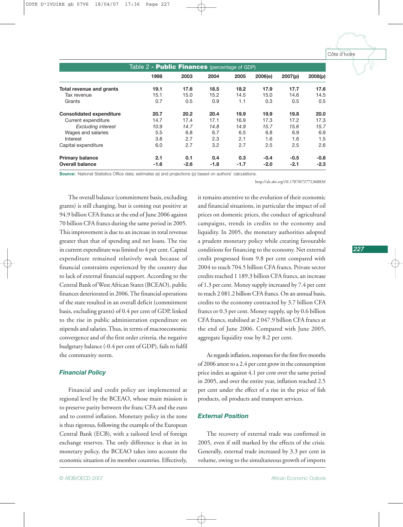| Table 2 - Public Finances (percentage of GDP)    |               |               |               |               |                  |                  |                |
|--------------------------------------------------|---------------|---------------|---------------|---------------|------------------|------------------|----------------|
|                                                  | 1998          | 2003          | 2004          | 2005          | 2006(e)          | 2007(p)          | 2008(p)        |
| Total revenue and grants                         | 19.1          | 17.6          | 18.5          | 18.2          | 17.9             | 17.7             | 17.6           |
| Tax revenue                                      | 15.1          | 15.0          | 15.2          | 14.5          | 15.0             | 14.6             | 14.5           |
| Grants                                           | 0.7           | 0.5           | 0.9           | 1.1           | 0.3              | 0.5              | 0.5            |
| <b>Consolidated expenditure</b>                  | 20.7          | 20.2          | 20.4          | 19.9          | 19.9             | 19.8             | 20.0           |
| Current expenditure                              | 14.7          | 17.4          | 17.1          | 16.9          | 17.3             | 17.2             | 17.3           |
| <b>Excluding interest</b>                        | 10.9          | 14.7          | 14.8          | 14.9          | 15.7             | 15.6             | 15.7           |
| Wages and salaries                               | 5.5           | 6.8           | 6.7           | 6.5           | 6.8              | 6.9              | 6.9            |
| Interest                                         | 3.8           | 2.7           | 2.3           | 2.1           | 1.6              | 1.6              | 1.5            |
| Capital expenditure                              | 6.0           | 2.7           | 3.2           | 2.7           | 2.5              | 2.5              | 2.6            |
| <b>Primary balance</b><br><b>Overall balance</b> | 2.1<br>$-1.6$ | 0.1<br>$-2.6$ | 0.4<br>$-1.8$ | 0.3<br>$-1.7$ | $-0.4$<br>$-2.0$ | $-0.5$<br>$-2.1$ | -0.8<br>$-2.3$ |

**Source:** National Statistics Office data; estimates (e) and projections (p) based on authors' calculations.

http://*[dx.doi.org/10.1787/073771368836](http://dx.doi.org/10.1787/073771368836)*

The overall balance (commitment basis, excluding grants) is still changing, but is coming out positive at 94.9 billion CFA francs at the end of June 2006 against 70 billion CFA francs during the same period in 2005. This improvement is due to an increase in total revenue greater than that of spending and net loans. The rise in current expenditure was limited to 4 per cent. Capital expenditure remained relatively weak because of financial constraints experienced by the country due to lack of external financial support. According to the Central Bank of West African States (BCEAO), public finances deteriorated in 2006. The financial operations of the state resulted in an overall deficit (commitment basis, excluding grants) of 0.4 per cent of GDP, linked to the rise in public administration expenditure on stipends and salaries. Thus, in terms of macroeconomic convergence and of the first order criteria, the negative budgetary balance (-0.4 per cent of GDP), fails to fulfil the community norm.

### *Financial Policy*

Financial and credit policy are implemented at regional level by the BCEAO, whose main mission is to preserve parity between the franc CFA and the euro and to control inflation. Monetary policy in the zone is thus rigorous, following the example of the European Central Bank (ECB), with a tailored level of foreign exchange reserves. The only difference is that in its monetary policy, the BCEAO takes into account the economic situation of its member countries. Effectively,

it remains attentive to the evolution of their economic and financial situations, in particular the impact of oil prices on domestic prices, the conduct of agricultural campaigns, trends in credits to the economy and liquidity. In 2005, the monetary authorities adopted a prudent monetary policy while creating favourable conditions for financing to the economy. Net external credit progressed from 9.8 per cent compared with 2004 to reach 704.5 billion CFA francs. Private sector credits reached 1 189.3 billion CFA francs, an increase of 1.3 per cent. Money supply increased by 7.4 per cent to reach 2 081.2 billion CFA francs. On an annual basis, credits to the economy contracted by 3.7 billion CFA francs or 0.3 per cent. Money supply, up by 0.6 billion CFA francs, stabilised at 2 047.9 billion CFA francs at the end of June 2006. Compared with June 2005, aggregate liquidity rose by 8.2 per cent.

As regards inflation, responses for the first five months of 2006 attest to a 2.4 per cent grow in the consumption price index as against 4.1 per cent over the same period in 2005, and over the entire year, inflation reached 2.5 per cent under the effect of a rise in the price of fish products, oil products and transport services.

### *External Position*

The recovery of external trade was confirmed in 2005, even if still marked by the effects of the crisis. Generally, external trade increased by 3.3 per cent in volume, owing to the simultaneous growth of imports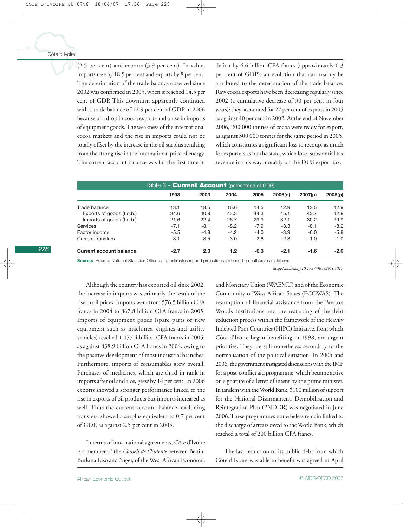(2.5 per cent) and exports (3.9 per cent). In value, imports rose by 18.5 per cent and exports by 8 per cent. The deterioration of the trade balance observed since 2002 was confirmed in 2005, when it reached 14.5 per cent of GDP. This downturn apparently continued with a trade balance of 12.9 per cent of GDP in 2006 because of a drop in cocoa exports and a rise in imports of equipment goods. The weakness of the international cocoa markets and the rise in imports could not be totally offset by the increase in the oil surplus resulting from the strong rise in the international price of energy. The current account balance was for the first time in

deficit by 6.6 billion CFA francs (approximately 0.3 per cent of GDP), an evolution that can mainly be attributed to the deterioration of the trade balance. Raw cocoa exports have been decreasing regularly since 2002 (a cumulative decrease of 30 per cent in four years): they accounted for 27 per cent of exports in 2005 as against 40 per cent in 2002. At the end of November 2006, 200 000 tonnes of cocoa were ready for export, as against 300 000 tonnes for the same period in 2005, which constitutes a significant loss to recoup, as much for exporters as for the state, which loses substantial tax revenue in this way, notably on the DUS export tax.

| Table 3 - <b>Current Account</b> (percentage of GDP) |        |        |                  |        |         |         |         |  |
|------------------------------------------------------|--------|--------|------------------|--------|---------|---------|---------|--|
|                                                      | 1998   | 2003   | 2004             | 2005   | 2006(e) | 2007(p) | 2008(p) |  |
| Trade balance                                        | 13.1   | 18.5   | 16.6             | 14.5   | 12.9    | 13.5    | 12.9    |  |
| Exports of goods (f.o.b.)                            | 34.6   | 40.9   | 43.3             | 44.3   | 45.1    | 43.7    | 42.9    |  |
| Imports of goods (f.o.b.)                            | 21.6   | 22.4   | 26.7             | 29.9   | 32.1    | 30.2    | 29.9    |  |
| <b>Services</b>                                      | $-7.1$ | $-8.1$ | $-8.2$           | $-7.9$ | $-8.3$  | $-8.1$  | $-8.2$  |  |
| Factor income                                        | $-5.5$ | $-4.8$ | $-4.2$           | $-4.0$ | $-3.9$  | $-6.0$  | $-5.8$  |  |
| <b>Current transfers</b>                             | $-3.1$ | $-3.5$ | $-3.0$           | $-2.8$ | $-2.8$  | $-1.0$  | $-1.0$  |  |
| <b>Current account balance</b>                       | $-2.7$ | 2.0    | 1.2 <sub>2</sub> | $-0.3$ | $-2.1$  | $-1.6$  | $-2.0$  |  |

**Source:** Source: National Statistics Office data; estimates (e) and projections (p) based on authors' calculations.

http://*[dx.doi.org/10.1787/385820705017](http://dx.doi.org/10.1787/385820705017)*

Although the country has exported oil since 2002, the increase in imports was primarily the result of the rise in oil prices. Imports went from 576.5 billion CFA francs in 2004 to 867.8 billion CFA francs in 2005. Imports of equipment goods (spare parts or new equipment such as machines, engines and utility vehicles) reached 1 077.4 billion CFA francs in 2005, as against 838.9 billion CFA francs in 2004, owing to the positive development of most industrial branches. Furthermore, imports of consumables grew overall. Purchases of medicines, which are third in rank in imports after oil and rice, grew by 14 per cent. In 2006 exports showed a stronger performance linked to the rise in exports of oil products but imports increased as well. Thus the current account balance, excluding transfers, showed a surplus equivalent to 0.7 per cent of GDP, as against 2.5 per cent in 2005.

In terms of international agreements, Côte d'Ivoire is a member of the *Conseil de l'Entente* between Benin, Burkina Faso and Niger, of the West African Economic and Monetary Union (WAEMU) and of the Economic Community of West African States (ECOWAS). The resumption of financial assistance from the Bretton Woods Institutions and the restarting of the debt reduction process within the framework of the Heavily Indebted Poor Countries (HIPC) Initiative, from which Côte d'Ivoire began benefiting in 1998, are urgent priorities. They are still nonetheless secondary to the normalisation of the political situation. In 2005 and 2006, the government instigated discussions with the IMF for a post-conflict aid programme, which became active on signature of a letter of intent by the prime minister. In tandem with the World Bank, \$100 million of support for the National Disarmament, Demobilisation and Reintegration Plan (PNDDR) was negotiated in June 2006. These programmes nonetheless remain linked to the discharge of arrears owed to the World Bank, which reached a total of 200 billion CFA francs.

The last reduction of its public debt from which Côte d'Ivoire was able to benefit was agreed in April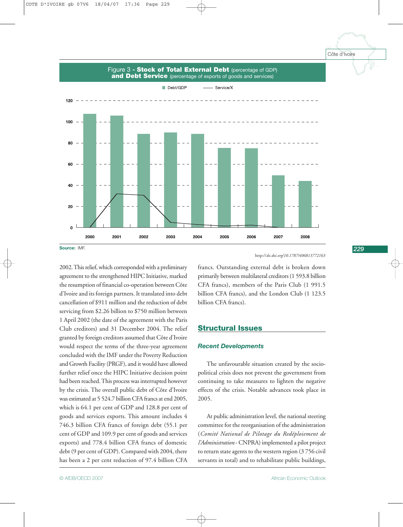

Figure 3 **- Stock of Total External Debt** (percentage of GDP) **and Debt Service** (percentage of exports of goods and services)

**Source:** IMF.

2002. This relief, which corresponded with a preliminary agreement to the strengthened HIPC Initiative, marked the resumption of financial co-operation between Côte d'Ivoire and its foreign partners. It translated into debt cancellation of \$911 million and the reduction of debt servicing from \$2.26 billion to \$750 million between 1 April 2002 (the date of the agreement with the Paris Club creditors) and 31 December 2004. The relief granted by foreign creditors assumed that Côte d'Ivoire would respect the terms of the three-year agreement concluded with the IMF under the Poverty Reduction and Growth Facility (PRGF), and it would have allowed further relief once the HIPC Initiative decision point had been reached. This process was interrupted however by the crisis. The overall public debt of Côte d'Ivoire was estimated at 5 524.7 billion CFA francs at end 2005, which is 64.1 per cent of GDP and 128.8 per cent of goods and services exports. This amount includes 4 746.3 billion CFA francs of foreign debt (55.1 per cent of GDP and 109.9 per cent of goods and services exports) and 778.4 billion CFA francs of domestic debt (9 per cent of GDP). Compared with 2004, there has been a 2 per cent reduction of 97.4 billion CFA http://*[dx.doi.org/10.1787/406813772163](http://dx.doi.org/10.1787/406813772163)*

francs. Outstanding external debt is broken down primarily between multilateral creditors (1 593.8 billion CFA francs), members of the Paris Club (1 991.5 billion CFA francs), and the London Club (1 123.5 billion CFA francs).

### **Structural Issues**

### *Recent Developments*

The unfavourable situation created by the sociopolitical crisis does not prevent the government from continuing to take measures to lighten the negative effects of the crisis. Notable advances took place in 2005.

At public administration level, the national steering committee for the reorganisation of the administration (*Comité National de Pilotage du Redéploiement de l'Administration* - CNPRA) implemented a pilot project to return state agents to the western region (3 756 civil servants in total) and to rehabilitate public buildings,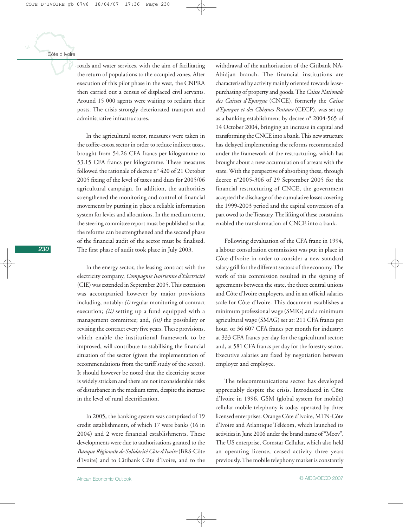roads and water services, with the aim of facilitating the return of populations to the occupied zones. After execution of this pilot phase in the west, the CNPRA then carried out a census of displaced civil servants. Around 15 000 agents were waiting to reclaim their posts. The crisis strongly deteriorated transport and administrative infrastructures.

In the agricultural sector, measures were taken in the coffee-cocoa sector in order to reduce indirect taxes, brought from 54.26 CFA francs per kilogramme to 53.15 CFA francs per kilogramme. These measures followed the rationale of decree n° 420 of 21 October 2005 fixing of the level of taxes and dues for 2005/06 agricultural campaign. In addition, the authorities strengthened the monitoring and control of financial movements by putting in place a reliable information system for levies and allocations. In the medium term, the steering committee report must be published so that the reforms can be strengthened and the second phase of the financial audit of the sector must be finalised. The first phase of audit took place in July 2003.

In the energy sector, the leasing contract with the electricity company, *Compagnie Ivoirienne d'Electricité* (CIE) was extended in September 2005. This extension was accompanied however by major provisions including, notably: *(i)* regular monitoring of contract execution; *(ii)* setting up a fund equipped with a management committee; and, *(iii)* the possibility or revising the contract every five years. These provisions, which enable the institutional framework to be improved, will contribute to stabilising the financial situation of the sector (given the implementation of recommendations from the tariff study of the sector). It should however be noted that the electricity sector is widely stricken and there are not inconsiderable risks of disturbance in the medium term, despite the increase in the level of rural electrification.

In 2005, the banking system was comprised of 19 credit establishments, of which 17 were banks (16 in 2004) and 2 were financial establishments. These developments were due to authorisations granted to the *Banque Régionale de Solidarité Côte d'Ivoire* (BRS-Côte d'Ivoire) and to Citibank Côte d'Ivoire, and to the

withdrawal of the authorisation of the Citibank NA-Abidjan branch. The financial institutions are characterised by activity mainly oriented towards leasepurchasing of property and goods. The *Caisse Nationale des Caisses d'Epargne* (CNCE), formerly the *Caisse d'Epargne et des Chèques Postaux* (CECP), was set up as a banking establishment by decree n° 2004-565 of 14 October 2004, bringing an increase in capital and transforming the CNCE into a bank. This new structure has delayed implementing the reforms recommended under the framework of the restructuring, which has brought about a new accumulation of arrears with the state. With the perspective of absorbing these, through decree n°2005-306 of 29 September 2005 for the financial restructuring of CNCE, the government accepted the discharge of the cumulative losses covering the 1999-2003 period and the capital conversion of a part owed to the Treasury. The lifting of these constraints enabled the transformation of CNCE into a bank.

Following devaluation of the CFA franc in 1994, a labour consultation commission was put in place in Côte d'Ivoire in order to consider a new standard salary grill for the different sectors of the economy. The work of this commission resulted in the signing of agreements between the state, the three central unions and Côte d'Ivoire employers, and in an official salaries scale for Côte d'Ivoire. This document establishes a minimum professional wage (SMIG) and a minimum agricultural wage (SMAG) set at: 211 CFA francs per hour, or 36 607 CFA francs per month for industry; at 333 CFA francs per day for the agricultural sector; and, at 581 CFA francs per day for the forestry sector. Executive salaries are fixed by negotiation between employer and employee.

The telecommunications sector has developed appreciably despite the crisis. Introduced in Côte d'Ivoire in 1996, GSM (global system for mobile) cellular mobile telephony is today operated by three licensed enterprises: Orange Côte d'Ivoire, MTN-Côte d'Ivoire and Atlantique Télécom, which launched its activities in June 2006 under the brand name of "Moov". The US enterprise, Comstar Cellular, which also held an operating license, ceased activity three years previously. The mobile telephony market is constantly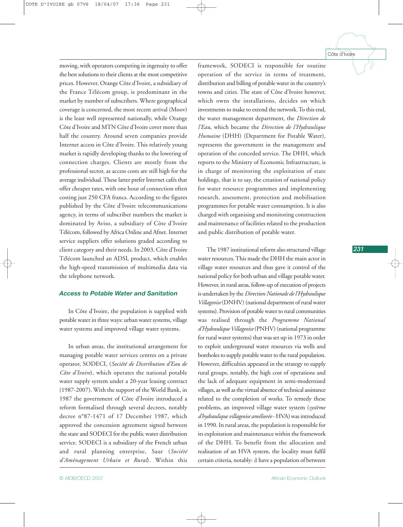moving, with operators competing in ingenuity to offer the best solutions to their clients at the most competitive prices. However, Orange Côte d'Ivoire, a subsidiary of the France Télécom group, is predominant in the market by number of subscribers. Where geographical coverage is concerned, the most recent arrival (Moov) is the least well represented nationally, while Orange Côte d'Ivoire and MTN Côte d'Ivoire cover more than half the country. Around seven companies provide Internet access in Côte d'Ivoire. This relatively young market is rapidly developing thanks to the lowering of connection charges. Clients are mostly from the professional sector, as access costs are still high for the average individual. These latter prefer Internet cafés that offer cheaper rates, with one hour of connection often costing just 250 CFA francs. According to the figures published by the Côte d'Ivoire telecommunications agency, in terms of subscriber numbers the market is dominated by Aviso, a subsidiary of Côte d'Ivoire Télécom, followed by Africa Online and Afnet. Internet service suppliers offer solutions graded according to client category and their needs. In 2003, Côte d'Ivoire Télécom launched an ADSL product, which enables the high-speed transmission of multimedia data via the telephone network.

### *Access to Potable Water and Sanitation*

In Côte d'Ivoire, the population is supplied with potable water in three ways: urban water systems, village water systems and improved village water systems.

In urban areas, the institutional arrangement for managing potable water services centres on a private operator, SODECI, (*Société de Distribution d'Eau de Côte d'Ivoire*), which operates the national potable water supply system under a 20-year leasing contract (1987-2007). With the support of the World Bank, in 1987 the government of Côte d'Ivoire introduced a reform formalised through several decrees, notably decree n°87-1471 of 17 December 1987, which approved the concession agreement signed between the state and SODECI for the public water distribution service. SODECI is a subsidiary of the French urban and rural planning enterprise, Saur (*Société d'Aménagement Urbain et Rural*). Within this framework, SODECI is responsible for routine operation of the service in terms of treatment, distribution and billing of potable water in the country's towns and cities. The state of Côte d'Ivoire however, which owns the installations, decides on which investments to make to extend the network. To this end, the water management department, the *Direction de l'Eau*, which became the *Direction de l'Hydraulique Humaine* (DHH) (Department for Potable Water), represents the government in the management and operation of the conceded service. The DHH, which reports to the Ministry of Economic Infrastructure, is in charge of monitoring the exploitation of state holdings, that is to say, the creation of national policy for water resource programmes and implementing research, assessment, protection and mobilisation programmes for potable water consumption. It is also charged with organising and monitoring construction and maintenance of facilities related to the production and public distribution of potable water.

The 1987 institutional reform also structured village water resources. This made the DHH the main actor in village water resources and thus gave it control of the national policy for both urban and village potable water. However, in rural areas, follow-up of execution of projects is undertaken by the *Direction Nationale de l'Hydraulique Villageoise*(DNHV) (national department of rural water systems). Provision of potable water to rural communities was realised through the *Programme National d'Hydraulique Villageoise*(PNHV) (national programme for rural water systems) that was set up in 1973 in order to exploit underground water resources via wells and boreholes to supply potable water to the rural population. However, difficulties appeared in the strategy to supply rural groups, notably, the high cost of operations and the lack of adequate equipment in semi-modernised villages, as well as the virtual absence of technical assistance related to the completion of works. To remedy these problems, an improved village water system (*système d'hydraulique villageoise améliorée*- HVA) was introduced in 1990. In rural areas, the population is responsible for its exploitation and maintenance within the framework of the DHH. To benefit from the allocation and realisation of an HVA system, the locality must fulfil certain criteria, notably: *i*) have a population of between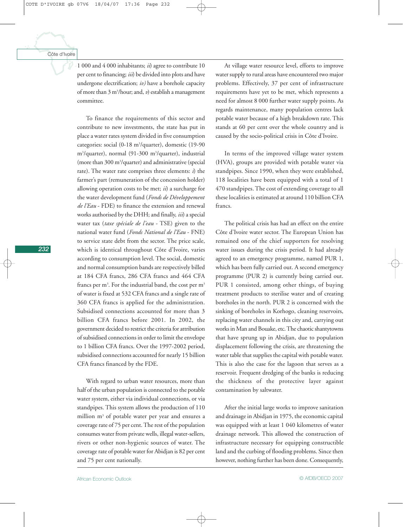1 000 and 4 000 inhabitants; *ii*) agree to contribute 10 per cent to financing; *iii*) be divided into plots and have undergone electrification; *iv)* have a borehole capacity of more than 3 m3 /hour; and, *v*) establish a management committee.

To finance the requirements of this sector and contribute to new investments, the state has put in place a water rates system divided in five consumption categories: social (0-18 m3 /quarter), domestic (19-90 m3 /quarter), normal (91-300 m3 /quarter), industrial (more than 300 m3 /quarter) and administrative (special rate). The water rate comprises three elements: *i*) the farmer's part (remuneration of the concession holder) allowing operation costs to be met; *ii*) a surcharge for the water development fund (*Fonds de Développement de l'Eau* - FDE) to finance the extension and renewal works authorised by the DHH; and finally, *iii*) a special water tax (*taxe spéciale de l'eau* - TSE) given to the national water fund (*Fonds National de l'Eau* - FNE) to service state debt from the sector. The price scale, which is identical throughout Côte d'Ivoire, varies according to consumption level. The social, domestic and normal consumption bands are respectively billed at 184 CFA francs, 286 CFA francs and 464 CFA francs per m3. For the industrial band, the cost per m3 of water is fixed at 532 CFA francs and a single rate of 360 CFA francs is applied for the administration. Subsidised connections accounted for more than 3 billion CFA francs before 2001. In 2002, the government decided to restrict the criteria for attribution of subsidised connections in order to limit the envelope to 1 billion CFA francs. Over the 1997-2002 period, subsidised connections accounted for nearly 15 billion CFA francs financed by the FDE.

With regard to urban water resources, more than half of the urban population is connected to the potable water system, either via individual connections, or via standpipes. This system allows the production of 110 million m<sup>3</sup> of potable water per year and ensures a coverage rate of 75 per cent. The rest of the population consumes water from private wells, illegal water-sellers, rivers or other non-hygienic sources of water. The coverage rate of potable water for Abidjan is 82 per cent and 75 per cent nationally.

At village water resource level, efforts to improve water supply to rural areas have encountered two major problems. Effectively, 37 per cent of infrastructure requirements have yet to be met, which represents a need for almost 8 000 further water supply points. As regards maintenance, many population centres lack potable water because of a high breakdown rate. This stands at 60 per cent over the whole country and is caused by the socio-political crisis in Côte d'Ivoire.

In terms of the improved village water system (HVA), groups are provided with potable water via standpipes. Since 1990, when they were established, 118 localities have been equipped with a total of 1 470 standpipes. The cost of extending coverage to all these localities is estimated at around 110 billion CFA francs.

The political crisis has had an effect on the entire Côte d'Ivoire water sector. The European Union has remained one of the chief supporters for resolving water issues during the crisis period. It had already agreed to an emergency programme, named PUR 1, which has been fully carried out. A second emergency programme (PUR 2) is currently being carried out. PUR 1 consisted, among other things, of buying treatment products to sterilise water and of creating boreholes in the north. PUR 2 is concerned with the sinking of boreholes in Korhogo, cleaning reservoirs, replacing water channels in this city and, carrying out works in Man and Bouake, etc. The chaotic shantytowns that have sprung up in Abidjan, due to population displacement following the crisis, are threatening the water table that supplies the capital with potable water. This is also the case for the lagoon that serves as a reservoir. Frequent dredging of the banks is reducing the thickness of the protective layer against contamination by saltwater.

After the initial large works to improve sanitation and drainage in Abidjan in 1975, the economic capital was equipped with at least 1 040 kilometres of water drainage network. This allowed the construction of infrastructure necessary for equipping constructible land and the curbing of flooding problems. Since then however, nothing further has been done. Consequently,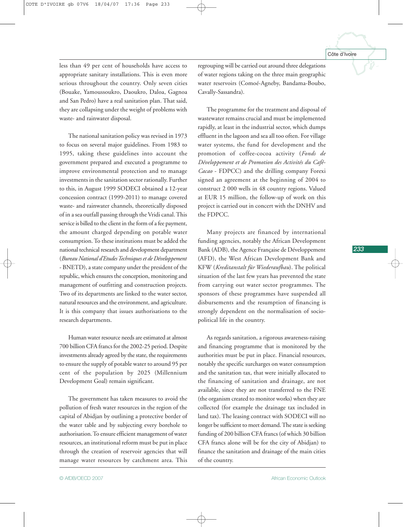less than 49 per cent of households have access to appropriate sanitary installations. This is even more serious throughout the country. Only seven cities (Bouake, Yamoussoukro, Daoukro, Daloa, Gagnoa and San Pedro) have a real sanitation plan. That said, they are collapsing under the weight of problems with waste- and rainwater disposal.

The national sanitation policy was revised in 1973 to focus on several major guidelines. From 1983 to 1995, taking these guidelines into account the government prepared and executed a programme to improve environmental protection and to manage investments in the sanitation sector rationally. Further to this, in August 1999 SODECI obtained a 12-year concession contract (1999-2011) to manage covered waste- and rainwater channels, theoretically disposed of in a sea outfall passing through the Vridi canal. This service is billed to the client in the form of a fee payment, the amount charged depending on potable water consumption. To these institutions must be added the national technical research and development department (*Bureau National d'Etudes Techniques et de Développement* - BNETD), a state company under the president of the republic, which ensures the conception, monitoring and management of outfitting and construction projects. Two of its departments are linked to the water sector, natural resources and the environment, and agriculture. It is this company that issues authorisations to the research departments.

Human water resource needs are estimated at almost 700 billion CFA francs for the 2002-25 period. Despite investments already agreed by the state, the requirements to ensure the supply of potable water to around 95 per cent of the population by 2025 (Millennium Development Goal) remain significant.

The government has taken measures to avoid the pollution of fresh water resources in the region of the capital of Abidjan by outlining a protective border of the water table and by subjecting every borehole to authorisation. To ensure efficient management of water resources, an institutional reform must be put in place through the creation of reservoir agencies that will manage water resources by catchment area. This regrouping will be carried out around three delegations of water regions taking on the three main geographic water reservoirs (Comoé-Agneby, Bandama-Boubo, Cavally-Sassandra).

The programme for the treatment and disposal of wastewater remains crucial and must be implemented rapidly, at least in the industrial sector, which dumps effluent in the lagoon and sea all too often. For village water systems, the fund for development and the promotion of coffee-cocoa activity (*Fonds de Développement et de Promotion des Activités du Café-Cacao* - FDPCC) and the drilling company Forexi signed an agreement at the beginning of 2004 to construct 2 000 wells in 48 country regions. Valued at EUR 15 million, the follow-up of work on this project is carried out in concert with the DNHV and the FDPCC.

Many projects are financed by international funding agencies, notably the African Development Bank (ADB), the Agence Française de Développement (AFD), the West African Development Bank and KFW (*Kreditanstalt für Wiederaufbau*). The political situation of the last few years has prevented the state from carrying out water sector programmes. The sponsors of these programmes have suspended all disbursements and the resumption of financing is strongly dependent on the normalisation of sociopolitical life in the country.

As regards sanitation, a rigorous awareness-raising and financing programme that is monitored by the authorities must be put in place. Financial resources, notably the specific surcharges on water consumption and the sanitation tax, that were initially allocated to the financing of sanitation and drainage, are not available, since they are not transferred to the FNE (the organism created to monitor works) when they are collected (for example the drainage tax included in land tax). The leasing contract with SODECI will no longer be sufficient to meet demand. The state is seeking funding of 200 billion CFA francs (of which 30 billion CFA francs alone will be for the city of Abidjan) to finance the sanitation and drainage of the main cities of the country.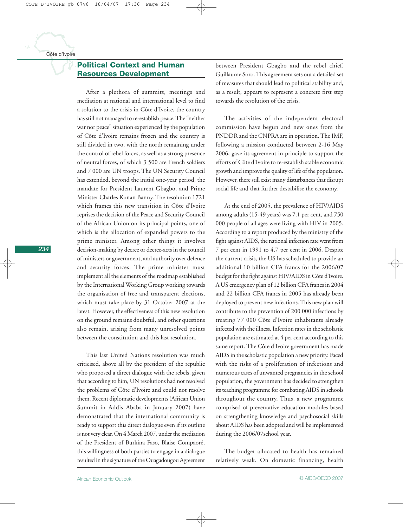# **Political Context and Human Resources Development**

After a plethora of summits, meetings and mediation at national and international level to find a solution to the crisis in Côte d'Ivoire, the country has still not managed to re-establish peace. The "neither war nor peace" situation experienced by the population of Côte d'Ivoire remains frozen and the country is still divided in two, with the north remaining under the control of rebel forces, as well as a strong presence of neutral forces, of which 3 500 are French soldiers and 7 000 are UN troops. The UN Security Council has extended, beyond the initial one-year period, the mandate for President Laurent Gbagbo, and Prime Minister Charles Konan Banny. The resolution 1721 which frames this new transition in Côte d'Ivoire reprises the decision of the Peace and Security Council of the African Union on its principal points, one of which is the allocation of expanded powers to the prime minister. Among other things it involves decision-making by decree or decree-acts in the council of ministers or government, and authority over defence and security forces. The prime minister must implement all the elements of the roadmap established by the International Working Group working towards the organisation of free and transparent elections, which must take place by 31 October 2007 at the latest. However, the effectiveness of this new resolution on the ground remains doubtful, and other questions also remain, arising from many unresolved points between the constitution and this last resolution.

This last United Nations resolution was much criticised, above all by the president of the republic who proposed a direct dialogue with the rebels, given that according to him, UN resolutions had not resolved the problems of Côte d'Ivoire and could not resolve them. Recent diplomatic developments (African Union Summit in Addis Ababa in January 2007) have demonstrated that the international community is ready to support this direct dialogue even if its outline is not very clear. On 4 March 2007, under the mediation of the President of Burkina Faso, Blaise Compaoré, this willingness of both parties to engage in a dialogue resulted in the signature of the Ouagadougou Agreement between President Gbagbo and the rebel chief, Guillaume Soro. This agreement sets out a detailed set of measures that should lead to political stability and, as a result, appears to represent a concrete first step towards the resolution of the crisis.

The activities of the independent electoral commission have begun and new ones from the PNDDR and the CNPRA are in operation. The IMF, following a mission conducted between 2-16 May 2006, gave its agreement in principle to support the efforts of Côte d'Ivoire to re-establish stable economic growth and improve the quality of life of the population. However, there still exist many disturbances that disrupt social life and that further destabilise the economy.

At the end of 2005, the prevalence of HIV/AIDS among adults (15-49 years) was 7.1 per cent, and 750 000 people of all ages were living with HIV in 2005. According to a report produced by the ministry of the fight against AIDS, the national infection rate went from 7 per cent in 1991 to 4.7 per cent in 2006. Despite the current crisis, the US has scheduled to provide an additional 10 billion CFA francs for the 2006/07 budget for the fight against HIV/AIDS in Côte d'Ivoire. A US emergency plan of 12 billion CFA francs in 2004 and 22 billion CFA francs in 2005 has already been deployed to prevent new infections. This new plan will contribute to the prevention of 200 000 infections by treating 77 000 Côte d'Ivoire inhabitants already infected with the illness. Infection rates in the scholastic population are estimated at 4 per cent according to this same report. The Côte d'Ivoire government has made AIDS in the scholastic population a new priority. Faced with the risks of a proliferation of infections and numerous cases of unwanted pregnancies in the school population, the government has decided to strengthen its teaching programme for combating AIDS in schools throughout the country. Thus, a new programme comprised of preventative education modules based on strengthening knowledge and psychosocial skills about AIDS has been adopted and will be implemented during the 2006/07school year.

The budget allocated to health has remained relatively weak. On domestic financing, health